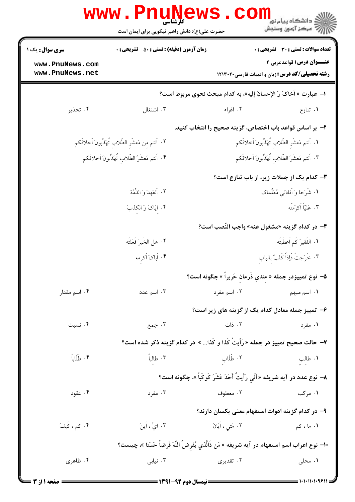|                                                                                                        | www.PnuN                                                                      |                                 | ڪ دانشڪاه پيا <sub>م</sub> نور<br>7ء مرڪز آزمون وسنڊش                                      |  |  |
|--------------------------------------------------------------------------------------------------------|-------------------------------------------------------------------------------|---------------------------------|--------------------------------------------------------------------------------------------|--|--|
|                                                                                                        | حضرت علی(ع): دانش راهبر نیکویی برای ایمان است                                 |                                 |                                                                                            |  |  |
| <b>سری سوال :</b> یک ۱                                                                                 | <b>زمان آزمون (دقیقه) : تستی : 50 ٪ تشریحی : 0</b>                            |                                 | <b>تعداد سوالات : تستي : 30 ٪ تشريحي : 0</b>                                               |  |  |
| www.PnuNews.com<br>www.PnuNews.net                                                                     |                                                                               |                                 | <b>عنـــوان درس:</b> قواعدعربي ۴<br><b>رشته تحصیلی/کد درس:</b> زبان و ادبیات فارسی ۱۲۱۳۰۲۰ |  |  |
| ا– عبارت « آخاکَ وَ الإحسانَ إليه»، به کدام مبحث نحوی مربوط است؟                                       |                                                                               |                                 |                                                                                            |  |  |
| ۰۴ تحذير                                                                                               | ۰۳ اشتغال                                                                     | ۰۲ اغراء                        | ٠١ تنازع                                                                                   |  |  |
|                                                                                                        |                                                                               |                                 | ۲- بر اساس قواعد باب اختصاص، گزینه صحیح را انتخاب کنید.                                    |  |  |
| ٢. اَنتم مِن مَعشَرِ الطِّلابِ تُهَذِّبونَ اَخلاقَكم<br>١. اَنتم مَعشَر الطِّلاب تُهَذِّبونَ اَخلاقَكم |                                                                               |                                 |                                                                                            |  |  |
|                                                                                                        | ۴. اَنتم مَعشَرُ الطِّلابِ تُهَذِّبونَ اَخلاقَكم                              |                                 | ٣. اَنتم مَعشَرَ الطّلاب تُهَذّبُونَ اَخلاقَكم                                             |  |  |
|                                                                                                        |                                                                               |                                 | <b>۳</b> – کدام یک از جملات زیر، از باب تنازع است؟                                         |  |  |
|                                                                                                        | ٢. اَلْعَهْدَ وَ الذِّمَّة                                                    |                                 | <b>۱.</b> شَرَحا وَ اَفادَني مُعَلِّماک                                                    |  |  |
|                                                                                                        | ۰۴ ایّاکَ وَ الکذبَ                                                           |                                 | ۴. عَليّاً اَكرَمتُه                                                                       |  |  |
|                                                                                                        |                                                                               |                                 | ۴- در كدام گزینه «مشغول عنه» واجب النّصب است؟                                              |  |  |
|                                                                                                        | ٢. هل الخَيرَ فَعَلتَه                                                        |                                 | <b>۱.</b> الفَقيرَ كَم اَعطَيتَه                                                           |  |  |
|                                                                                                        | ۴. اَباکَ اَکرمه                                                              | ٣. خَرَجتُ فَإِذاً كَلبٌ بالباب |                                                                                            |  |  |
|                                                                                                        |                                                                               |                                 | <mark>۵</mark> – نوع تمييزدر جمله « عِندي ذَرعانِ حَريراً » چگونه است؟                     |  |  |
| ۰۴ اسم مقدار                                                                                           | ۰۳ اسم عدد                                                                    |                                 | ۰۱ اسم مبهم میسان اسم مفرد است است به مقر                                                  |  |  |
|                                                                                                        |                                                                               |                                 | ۶– تمییز جمله معادل کدام یک از گزینه های زیر است؟                                          |  |  |
| ۰۴ نسبت                                                                                                | ۰۳ جمع                                                                        | ۰۲ ذات                          | ۰۱ مفرد                                                                                    |  |  |
|                                                                                                        | ۷– حالت صحیح تمییز در جمله « رَأَیتَ کَذا و کَذا » در کدام گزینه ذکر شده است؟ |                                 |                                                                                            |  |  |
| ۴. طُلّاباً                                                                                            | ۰۳ طالباً                                                                     | ٢. طُلّاب                       | ۰۱ طالب<br>په                                                                              |  |  |
|                                                                                                        |                                                                               |                                 | ٨– نوع عدد در آيه شريفه «أنّي رَأَيتُ أَحَدَ عَشَرَ كَوكَباً »، چگونه است؟                 |  |  |
| ۰۴ عقود                                                                                                | ۰۳ مفرد                                                                       | ۰۲ معطوف                        | ۱. مرکب                                                                                    |  |  |
|                                                                                                        |                                                                               |                                 | ۹– در کدام گزینه ادوات استفهام معنی یکسان دارند؟                                           |  |  |
| ۰۴ کم ، کَیفَ                                                                                          | ۰۳ ايُّ ، اَينَ                                                               | ۰۲ مَتي ، ايّانَ                | ۱. ما ، کم                                                                                 |  |  |
| •ا– نوع اعراب اسم استفهام در آيه شريفه « مَن ذَالَّذي يُقرضَ اللَّهَ قَرضاً حَسَنا »، چيست؟            |                                                                               |                                 |                                                                                            |  |  |
| ۰۴ ظاهری                                                                                               | ۰۳ نیابی                                                                      | ۰۲ تقدیری                       | ۰۱ محلی                                                                                    |  |  |
|                                                                                                        |                                                                               |                                 |                                                                                            |  |  |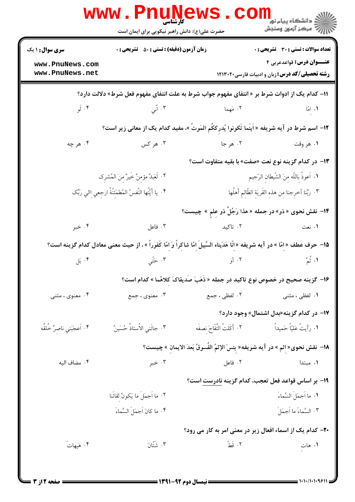|                                                                                                                                  | <b>WWW.PNUNEWS</b><br><b>کارشناسی</b><br>حضرت علی(ع): دانش راهبر نیکویی برای ایمان است |                                                                                                                             | ڪ دانشڪاه پيام نور<br><i>¶</i> مرڪز آزمون وسنڊش                                          |  |  |
|----------------------------------------------------------------------------------------------------------------------------------|----------------------------------------------------------------------------------------|-----------------------------------------------------------------------------------------------------------------------------|------------------------------------------------------------------------------------------|--|--|
| <b>سری سوال : ۱ یک</b>                                                                                                           | <b>زمان آزمون (دقیقه) : تستی : 50 ٪ تشریحی : 0</b>                                     |                                                                                                                             | <b>تعداد سوالات : تستي : 30 ٪ تشريحي : 0</b>                                             |  |  |
| www.PnuNews.com<br>www.PnuNews.net                                                                                               |                                                                                        |                                                                                                                             | <b>عنـــوان درس:</b> قواعدعربي ۴<br><b>رشته تحصیلی/کد درس: زبان و ادبیات فارسی۲۱۳۰۲۰</b> |  |  |
| 11– کدام یک از ادوات شرط بر « انتفای مفهوم جواب شرط به علت انتفای مفهوم فعل شرط» دلالت دارد؟                                     |                                                                                        |                                                                                                                             |                                                                                          |  |  |
| ۰۴ لَو                                                                                                                           | ۰۳ آنسي                                                                                | ٢. مَهما                                                                                                                    | $\sim$ 1.                                                                                |  |  |
| 1۲– اسم شرط در آیه شریفه « اَینَما تَکونوا یُدرککَم المَوتَ »، مفید کدام یک از معانی زیر است؟                                    |                                                                                        |                                                                                                                             |                                                                                          |  |  |
| ۰۴ هر چه                                                                                                                         | ۰۳ هر کس                                                                               | ۰۲ هر جا                                                                                                                    | ۱. هر وقت                                                                                |  |  |
|                                                                                                                                  |                                                                                        | ۱۳- در کدام گزینه نوع نعت «صفت» با بقیه متفاوت است؟                                                                         |                                                                                          |  |  |
|                                                                                                                                  | ٢. لَعَبدٌ مؤمِنٌ خَيرٌ مِنَ المُشرِك                                                  |                                                                                                                             | ١. أعوذُ بِاللّه مِنَ الشّيطانِ الرّجيم                                                  |  |  |
|                                                                                                                                  | ۴. يا أَيُّتُها النَّفسُ المُطمَئِنَّةُ ارجِعي اِالي رَبِّک                            |                                                                                                                             | ٣. رَبَّنا أخرِجنا مِن هذهِ القَريَةِ الظَّالِمِ أَهلُها                                 |  |  |
|                                                                                                                                  |                                                                                        | ۱۴- نقش نحوی « ذو» در جمله « هذا رَجُلٌ ذو عِلمِ » چیست؟                                                                    |                                                                                          |  |  |
| ۰۴ خبر                                                                                                                           | ۰۳ فاعل                                                                                | ۰ <mark>. نعت</mark> مستقال استخدام استخدام استخدام استخدام استخدام استخدام استخدام استخدام استخدام استخدام استخدام استخدام |                                                                                          |  |  |
| ۱۵−  حرف عطف « اِمّا » در آیه شریفه «انّا هَدَیناه السَّبیلَ اِمّا شاکِراً وَ امّا کَفوراً » ، از حیث معنی معادل کدام گزینه است؟ |                                                                                        |                                                                                                                             |                                                                                          |  |  |
| ۰۴ بَل                                                                                                                           | ۰۳ حَتّي                                                                               | ۲. أو                                                                                                                       | ۱. نُمَّ                                                                                 |  |  |
|                                                                                                                                  |                                                                                        | ۱۶– گزینه صحیح در خصوص نوع تاکید در جمله « ذَهَبَ صَدیقاکَ کلاهُما » کدام است؟                                              |                                                                                          |  |  |
| ۰۴ معنوی ، مثنی                                                                                                                  | ۰۳ معنوی ، جمع                                                                         | ۲. لفظی ، جمع                                                                                                               | ۰۱ لفظی ، مثنی                                                                           |  |  |
|                                                                                                                                  |                                                                                        |                                                                                                                             | ۱۷- در کدام گزینه«بدل اشتمال» وجود دارد؟                                                 |  |  |
| ۰۴ اَعجَبَني ناصِرٌ خُلقُه                                                                                                       | ٠٣ جائَني الأستاذُ حُسَينٌ                                                             | ٢. أَكَلتُ التُّفَّاحَ نصفَه                                                                                                | ١. رَأيتُ عَليّاً حَميداً                                                                |  |  |
|                                                                                                                                  |                                                                                        | ١٨–  نقش نحوى« إثم » در آيه شريفه« بِئسَ الإثمُ الفُسوقُ بَعدَ الايمانِ » چيست؟                                             |                                                                                          |  |  |
| ۰۴ مضاف اليه                                                                                                                     | ۰۳ خبر                                                                                 | ۰۲ فاعل                                                                                                                     | ۰۱ مبتدا                                                                                 |  |  |
|                                                                                                                                  |                                                                                        | ۱۹– بر اساس قواعد فعل تعجب، کدام گزینه نادرست است؟                                                                          |                                                                                          |  |  |
|                                                                                                                                  | ٢. ما اَجمَلَ ما يَكونُ لِقائَنا                                                       |                                                                                                                             | ٠١ ما اَجمَلَ السَّماءَ                                                                  |  |  |
|                                                                                                                                  | ۴. ما كانَ اَجِمَلَ السَّماءَ                                                          |                                                                                                                             | ۰۳ السَّماءَ ما اَجمَلَ                                                                  |  |  |
|                                                                                                                                  |                                                                                        | ۲۰– کدام یک از اسماء افعال زیر در معنی امر به کار می رود؟                                                                   |                                                                                          |  |  |
| ۰۴ هَيهاتَ                                                                                                                       | ۰۳ شَتَّانَ                                                                            | ٢. قَطَّ                                                                                                                    | ۰۱ هات<br>۱                                                                              |  |  |
|                                                                                                                                  |                                                                                        |                                                                                                                             |                                                                                          |  |  |
|                                                                                                                                  |                                                                                        |                                                                                                                             |                                                                                          |  |  |

= 1+1+/1+1+981